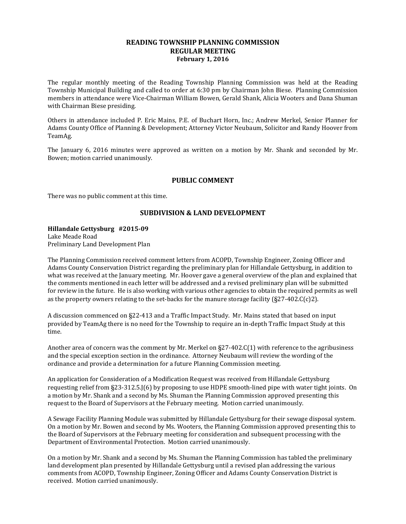#### **READING TOWNSHIP PLANNING COMMISSION REGULAR MEETING February 1, 2016**

The regular monthly meeting of the Reading Township Planning Commission was held at the Reading Township Municipal Building and called to order at 6:30 pm by Chairman John Biese. Planning Commission members in attendance were Vice-Chairman William Bowen, Gerald Shank, Alicia Wooters and Dana Shuman with Chairman Biese presiding.

Others in attendance included P. Eric Mains, P.E. of Buchart Horn, Inc.; Andrew Merkel, Senior Planner for Adams County Office of Planning & Development; Attorney Victor Neubaum, Solicitor and Randy Hoover from TeamAg.

The January 6, 2016 minutes were approved as written on a motion by Mr. Shank and seconded by Mr. Bowen; motion carried unanimously.

## **PUBLIC COMMENT**

There was no public comment at this time.

## **SUBDIVISION & LAND DEVELOPMENT**

**Hillandale Gettysburg #2015-09** Lake Meade Road Preliminary Land Development Plan

The Planning Commission received comment letters from ACOPD, Township Engineer, Zoning Officer and Adams County Conservation District regarding the preliminary plan for Hillandale Gettysburg, in addition to what was received at the January meeting. Mr. Hoover gave a general overview of the plan and explained that the comments mentioned in each letter will be addressed and a revised preliminary plan will be submitted for review in the future. He is also working with various other agencies to obtain the required permits as well as the property owners relating to the set-backs for the manure storage facility  $(\frac{27-402}{\text{C(c)}}^2)$ .

A discussion commenced on §22-413 and a Traffic Impact Study. Mr. Mains stated that based on input provided by TeamAg there is no need for the Township to require an in-depth Traffic Impact Study at this time.

Another area of concern was the comment by Mr. Merkel on §27-402.C(1) with reference to the agribusiness and the special exception section in the ordinance. Attorney Neubaum will review the wording of the ordinance and provide a determination for a future Planning Commission meeting.

An application for Consideration of a Modification Request was received from Hillandale Gettysburg requesting relief from §23-312.5.J(6) by proposing to use HDPE smooth-lined pipe with water tight joints. On a motion by Mr. Shank and a second by Ms. Shuman the Planning Commission approved presenting this request to the Board of Supervisors at the February meeting. Motion carried unanimously.

A Sewage Facility Planning Module was submitted by Hillandale Gettysburg for their sewage disposal system. On a motion by Mr. Bowen and second by Ms. Wooters, the Planning Commission approved presenting this to the Board of Supervisors at the February meeting for consideration and subsequent processing with the Department of Environmental Protection. Motion carried unanimously.

On a motion by Mr. Shank and a second by Ms. Shuman the Planning Commission has tabled the preliminary land development plan presented by Hillandale Gettysburg until a revised plan addressing the various comments from ACOPD, Township Engineer, Zoning Officer and Adams County Conservation District is received. Motion carried unanimously.